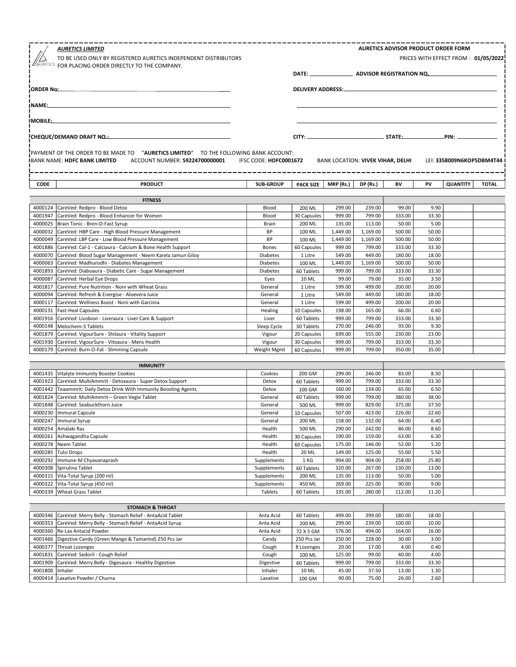|                    | <b>AURETICS LIMITED</b><br>TO BE USED ONLY BY REGISTERED AURETICS INDEPENDENT DISTRIBUTORS<br>AURETICS FOR PLACING ORDER DIRECTLY TO THE COMPANY.              |                        |                           |                                   |                      | <b>AURETICS ADVISOR PRODUCT ORDER FORM</b> |                   | PRICES WITH EFFECT FROM: 01/05/2022 |              |
|--------------------|----------------------------------------------------------------------------------------------------------------------------------------------------------------|------------------------|---------------------------|-----------------------------------|----------------------|--------------------------------------------|-------------------|-------------------------------------|--------------|
| ¡ORDER No:_        |                                                                                                                                                                |                        |                           | DELIVERY ADDRESS:                 |                      |                                            |                   |                                     |              |
| ∣NAME:_            |                                                                                                                                                                |                        |                           |                                   |                      |                                            |                   |                                     |              |
|                    |                                                                                                                                                                |                        |                           |                                   |                      |                                            |                   |                                     |              |
| IMOBILE:_          |                                                                                                                                                                |                        |                           |                                   |                      |                                            |                   |                                     |              |
|                    | CHEQUE/DEMAND DRAFT NO.:                                                                                                                                       |                        |                           |                                   |                      |                                            | .PIN: ___________ |                                     |              |
|                    | PAYMENT OF THE ORDER TO BE MADE TO "AURETICS LIMITED" TO THE FOLLOWING BANK ACCOUNT:<br><b>IBANK NAME: HDFC BANK LIMITED</b><br>ACCOUNT NUMBER: 59224700000001 | IFSC CODE: HDFC0001672 |                           | BANK LOCATION: VIVEK VIHAR, DELHI |                      |                                            |                   | LEI: 3358009N6KOP5DBM4T44           |              |
| CODE               | <b>PRODUCT</b>                                                                                                                                                 | <b>SUB-GROUP</b>       | <b>PACK SIZE</b>          | MRP (Rs.)                         | <b>DP</b> (Rs.)      | BV                                         | PV                | <b>QUANTITY</b>                     | <b>TOTAL</b> |
|                    | <b>FITNESS</b>                                                                                                                                                 |                        |                           |                                   |                      |                                            |                   |                                     |              |
|                    | 4000124 CareVed: Redpro - Blood Detox                                                                                                                          | Blood                  | 200 ML                    | 299.00                            | 239.00               | 99.00                                      | 9.90              |                                     |              |
| 4001947            | CareVed: Redpro - Blood Enhancer for Women                                                                                                                     | Blood                  | 30 Capsules               | 999.00                            | 799.00               | 333.00                                     | 33.30             |                                     |              |
| 4000025            | Brain Tonic - Bren-O-Fast Syrup                                                                                                                                | Brain                  | 200 ML                    | 135.00                            | 113.00               | 50.00                                      | 5.00              |                                     |              |
|                    | 4000032 CareVed: HBP Care - High Blood Pressure Management<br>4000049 CareVed: LBP Care - Low Blood Pressure Management                                        | <b>BP</b><br>BP        | 100 ML                    | 1,449.00<br>1,449.00              | 1,169.00<br>1,169.00 | 500.00<br>500.00                           | 50.00<br>50.00    |                                     |              |
| 4001886            | CareVed: Cal-1 - Calciaura - Calcium & Bone Health Support                                                                                                     | <b>Bones</b>           | 100 ML<br>60 Capsules     | 999.00                            | 799.00               | 333.00                                     | 33.30             |                                     |              |
| 4000070            | CareVed: Blood Sugar Management - Neem Karela Jamun Giloy                                                                                                      | <b>Diabetes</b>        | 1 Litre                   | 549.00                            | 449.00               | 180.00                                     | 18.00             |                                     |              |
| 4000063            | CareVed: Madhurodhi - Diabates Management                                                                                                                      | <b>Diabetes</b>        | 100 ML                    | 1,449.00                          | 1,169.00             | 500.00                                     | 50.00             |                                     |              |
| 4001893            | CareVed: Diaboaura - Diabetic Care - Sugar Management                                                                                                          | Diabetes               | 60 Tablets                | 999.00                            | 799.00               | 333.00                                     | 33.30             |                                     |              |
| 4000087            | CareVed: Herbal Eye Drops                                                                                                                                      | Eyes                   | 10 ML                     | 99.00                             | 79.00                | 35.00                                      | 3.50              |                                     |              |
| 4001817            | CareVed: Pure Nutrition - Noni with Wheat Grass                                                                                                                | General                | 1 Litre                   | 599.00                            | 499.00               | 200.00                                     | 20.00             |                                     |              |
| 4000094            | CareVed: Refresh & Energise - Aloevera Juice                                                                                                                   | General                | 1 Litre                   | 549.00                            | 449.00               | 180.00                                     | 18.00             |                                     |              |
| 4000117            | CareVed: Wellness Boost - Noni with Garcinia                                                                                                                   | General                | 1 Litre                   | 599.00                            | 499.00               | 200.00                                     | 20.00             |                                     |              |
| 4000131<br>4001916 | Fast-Heal Capsules                                                                                                                                             | Healing                | 10 Capsules<br>60 Tablets | 198.00<br>999.00                  | 165.00<br>799.00     | 66.00                                      | 6.60              |                                     |              |
| 4000148            | CareVed: Livobion - Liveraura - Liver Care & Support<br>Melochem-3 Tablets                                                                                     | Liver<br>Sleep Cycle   | 30 Tablets                | 270.00                            | 246.00               | 333.00<br>93.00                            | 33.30<br>9.30     |                                     |              |
| 4001879            | CareVed: VigourSure - Shilaura - Vitality Support                                                                                                              | Vigour                 | 20 Capsules               | 699.00                            | 555.00               | 230.00                                     | 23.00             |                                     |              |
| 4001930            | CareVed: VigourSure - Vitoaura - Mens Health                                                                                                                   | Vigour                 | 30 Capsules               | 999.00                            | 799.00               | 333.00                                     | 33.30             |                                     |              |
| 4000179            | CareVed: Burn-O-Fat - Slimming Capsule                                                                                                                         | Weight Mgmt            | 60 Capsules               | 999.00                            | 799.00               | 350.00                                     | 35.00             |                                     |              |
|                    | <b>IMMUNITY</b>                                                                                                                                                |                        |                           |                                   |                      |                                            |                   |                                     |              |
| 4001435            | Vitalyte Immunity Booster Cookies                                                                                                                              | Cookies                | 200 GM                    | 299.00                            | 246.00               | 83.00                                      | 8.30              |                                     |              |
| 4001923            | CareVed: MultiAmmrit - Detoxaura - Super Detox Support                                                                                                         | Detox                  | 60 Tablets                | 999.00                            | 799.00               | 333.00                                     | 33.30             |                                     |              |
| 4001442            | Teaammrit: Daily Detox Drink With Immunity Boosting Agents                                                                                                     | Detox                  | 100 GM                    | 160.00                            | 134.00               | 65.00                                      | 6.50              |                                     |              |
| 4001824            | CareVed: MultiAmmrit - Green Vegie Tablet                                                                                                                      | General                | 60 Tablets                | 999.00                            | 799.00               | 380.00                                     | 38.00             |                                     |              |
| 4001848            | CareVed: Seabuckthorn Juice                                                                                                                                    | General                | 500 ML                    | 999.00                            | 829.00               | 375.00                                     | 37.50             |                                     |              |
|                    | 4000230   Immural Capsule                                                                                                                                      | General                | 10 Capsules               | 507.00                            | 423.00               | 226.00                                     | 22.60             |                                     |              |
| 4000247<br>4000254 | Immural Syrup<br>Amalaki Ras                                                                                                                                   | General<br>Health      | 200 ML                    | 158.00<br>290.00                  | 132.00<br>242.00     | 64.00<br>86.00                             | 6.40<br>8.60      |                                     |              |
| 4000261            | Ashwagandha Capsule                                                                                                                                            | Health                 | 500 ML<br>30 Capsules     | 190.00                            | 159.00               | 63.00                                      | 6.30              |                                     |              |
| 4000278            | Neem Tablet                                                                                                                                                    | Health                 | 60 Capsules               | 175.00                            | 146.00               | 52.00                                      | 5.20              |                                     |              |
| 4000285            | Tulsi Drops                                                                                                                                                    | Health                 | 20 ML                     | 149.00                            | 125.00               | 55.00                                      | 5.50              |                                     |              |
| 4000292            | Immune-M Chyavanaprash                                                                                                                                         | Supplements            | 1 KG                      | 994.00                            | 904.00               | 258.00                                     | 25.80             |                                     |              |
| 4000308            | Spirulina Tablet                                                                                                                                               | Supplements            | 60 Tablets                | 320.00                            | 267.00               | 130.00                                     | 13.00             |                                     |              |
| 4000315            | Vita-Total Syrup (200 ml)                                                                                                                                      | Supplements            | 200 ML                    | 135.00                            | 113.00               | 50.00                                      | 5.00              |                                     |              |
| 4000322            | Vita-Total Syrup (450 ml)                                                                                                                                      | Supplements            | 450 ML                    | 269.00                            | 225.00               | 90.00                                      | 9.00              |                                     |              |
| 4000339            | <b>Wheat Grass Tablet</b>                                                                                                                                      | Tablets                | 60 Tablets                | 335.00                            | 280.00               | 112.00                                     | 11.20             |                                     |              |
|                    | <b>STOMACH &amp; THROAT</b>                                                                                                                                    |                        |                           |                                   |                      |                                            |                   |                                     |              |
| 4000346            | CareVed: Merry Belly - Stomach Relief - AntaAcid Tablet                                                                                                        | Anta Acid              | 60 Tablets                | 499.00                            | 399.00               | 180.00                                     | 18.00             |                                     |              |
| 4000353            | CareVed: Merry Belly - Stomach Relief - AntaAcid Syrup                                                                                                         | Anta Acid              | 200 ML                    | 299.00                            | 239.00               | 100.00                                     | 10.00             |                                     |              |
| 4000360            | Re-Lax Antacid Powder                                                                                                                                          | Anta Acid              | 72 X 5 GM                 | 576.00                            | 494.00               | 164.00                                     | 16.00             |                                     |              |
| 4001466            | Digestive Candy (Green Mango & Tamarind) 250 Pcs Jar                                                                                                           | Candy                  | 250 Pcs Jar               | 250.00                            | 228.00               | 30.00                                      | 3.00              |                                     |              |
| 4000377            | Throat Lozenges<br>CareVed: Sedoril - Cough Relief                                                                                                             | Cough                  | 8 Lozenges                | 20.00                             | 17.00                | 4.00                                       | 0.40<br>4.00      |                                     |              |
| 4001831<br>4001909 | CareVed: Merry Belly - Digesaura - Healthy Digestion                                                                                                           | Cough<br>Digestive     | 100 ML<br>60 Tablets      | 125.00<br>999.00                  | 99.00<br>799.00      | 40.00<br>333.00                            | 33.30             |                                     |              |
|                    |                                                                                                                                                                |                        |                           |                                   |                      |                                            |                   |                                     |              |

4001800 |Inhaler | 11.30 | 11.30 | 11.30 | 1.30 | 1.30 | 1.30 | 1.30 | 1.30 | 1.30 | 1.30 | 1.30 | 1.30 | 1.30 4000414 Laxative Powder / Churna Laxative 100 GM 75.00 90.00 26.00 2.60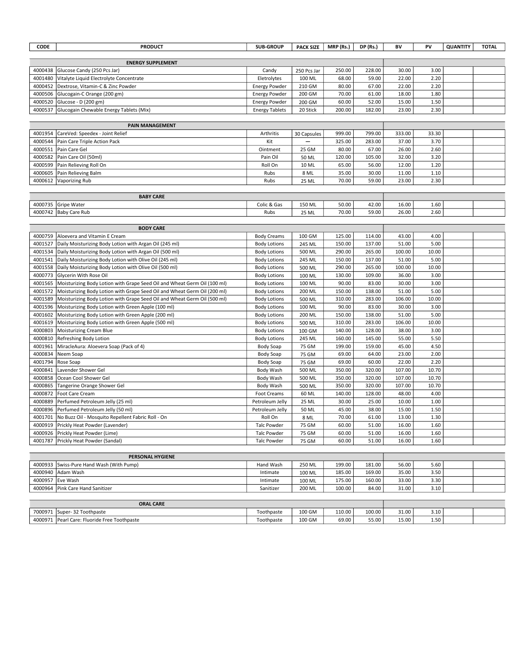| <b>ENERGY SUPPLEMENT</b><br>4000438<br>Glucose Candy (250 Pcs Jar)<br>Candy<br>250 Pcs Jar<br>250.00<br>228.00<br>30.00<br>3.00<br>4001480<br>68.00<br>22.00<br>2.20<br>Vitalyte Liquid Electrolyte Concentrate<br>Eletrolytes<br>100 ML<br>59.00<br>4000452<br>Dextrose, Vitamin-C & Zinc Powder<br>80.00<br>67.00<br>22.00<br>2.20<br><b>Energy Powder</b><br>210 GM<br>4000506<br>Glucogain-C Orange (200 gm)<br>200 GM<br>70.00<br>61.00<br>18.00<br>1.80<br><b>Energy Powder</b><br>4000520<br>60.00<br>52.00<br>1.50<br>Glucose - D (200 gm)<br><b>Energy Powder</b><br>200 GM<br>15.00<br>2.30<br>4000537<br>Glucogain Chewable Energy Tablets (Mix)<br>200.00<br>182.00<br>23.00<br><b>Energy Tablets</b><br>20 Stick<br><b>PAIN MANAGEMENT</b><br>333.00<br>33.30<br>4001954<br>CareVed: Speedex - Joint Relief<br>Arthritis<br>30 Capsules<br>999.00<br>799.00<br>3.70<br>4000544<br>Kit<br>325.00<br>283.00<br>37.00<br>Pain Care Triple Action Pack<br>4000551<br>Pain Care Gel<br>25 GM<br>80.00<br>67.00<br>26.00<br>2.60<br>Ointment<br>4000582<br>Pain Care Oil (50ml)<br>50 ML<br>120.00<br>105.00<br>32.00<br>3.20<br>Pain Oil<br>4000599<br>65.00<br>56.00<br>12.00<br>1.20<br>Pain Relieving Roll On<br>Roll On<br>10 ML<br>1.10<br>4000605<br>Rubs<br>8 ML<br>35.00<br>30.00<br>11.00<br>Pain Relieving Balm<br>4000612<br>25 ML<br>70.00<br>59.00<br>23.00<br>2.30<br>Vaporizing Rub<br>Rubs<br><b>BABY CARE</b> | CODE | <b>PRODUCT</b> | <b>SUB-GROUP</b> | <b>PACK SIZE</b> | MRP (Rs.) | DP (Rs.) | BV | PV | <b>QUANTITY</b> | <b>TOTAL</b> |
|----------------------------------------------------------------------------------------------------------------------------------------------------------------------------------------------------------------------------------------------------------------------------------------------------------------------------------------------------------------------------------------------------------------------------------------------------------------------------------------------------------------------------------------------------------------------------------------------------------------------------------------------------------------------------------------------------------------------------------------------------------------------------------------------------------------------------------------------------------------------------------------------------------------------------------------------------------------------------------------------------------------------------------------------------------------------------------------------------------------------------------------------------------------------------------------------------------------------------------------------------------------------------------------------------------------------------------------------------------------------------------------------------------------------------------------|------|----------------|------------------|------------------|-----------|----------|----|----|-----------------|--------------|
|                                                                                                                                                                                                                                                                                                                                                                                                                                                                                                                                                                                                                                                                                                                                                                                                                                                                                                                                                                                                                                                                                                                                                                                                                                                                                                                                                                                                                                        |      |                |                  |                  |           |          |    |    |                 |              |
|                                                                                                                                                                                                                                                                                                                                                                                                                                                                                                                                                                                                                                                                                                                                                                                                                                                                                                                                                                                                                                                                                                                                                                                                                                                                                                                                                                                                                                        |      |                |                  |                  |           |          |    |    |                 |              |
|                                                                                                                                                                                                                                                                                                                                                                                                                                                                                                                                                                                                                                                                                                                                                                                                                                                                                                                                                                                                                                                                                                                                                                                                                                                                                                                                                                                                                                        |      |                |                  |                  |           |          |    |    |                 |              |
|                                                                                                                                                                                                                                                                                                                                                                                                                                                                                                                                                                                                                                                                                                                                                                                                                                                                                                                                                                                                                                                                                                                                                                                                                                                                                                                                                                                                                                        |      |                |                  |                  |           |          |    |    |                 |              |
|                                                                                                                                                                                                                                                                                                                                                                                                                                                                                                                                                                                                                                                                                                                                                                                                                                                                                                                                                                                                                                                                                                                                                                                                                                                                                                                                                                                                                                        |      |                |                  |                  |           |          |    |    |                 |              |
|                                                                                                                                                                                                                                                                                                                                                                                                                                                                                                                                                                                                                                                                                                                                                                                                                                                                                                                                                                                                                                                                                                                                                                                                                                                                                                                                                                                                                                        |      |                |                  |                  |           |          |    |    |                 |              |
|                                                                                                                                                                                                                                                                                                                                                                                                                                                                                                                                                                                                                                                                                                                                                                                                                                                                                                                                                                                                                                                                                                                                                                                                                                                                                                                                                                                                                                        |      |                |                  |                  |           |          |    |    |                 |              |
|                                                                                                                                                                                                                                                                                                                                                                                                                                                                                                                                                                                                                                                                                                                                                                                                                                                                                                                                                                                                                                                                                                                                                                                                                                                                                                                                                                                                                                        |      |                |                  |                  |           |          |    |    |                 |              |
|                                                                                                                                                                                                                                                                                                                                                                                                                                                                                                                                                                                                                                                                                                                                                                                                                                                                                                                                                                                                                                                                                                                                                                                                                                                                                                                                                                                                                                        |      |                |                  |                  |           |          |    |    |                 |              |
|                                                                                                                                                                                                                                                                                                                                                                                                                                                                                                                                                                                                                                                                                                                                                                                                                                                                                                                                                                                                                                                                                                                                                                                                                                                                                                                                                                                                                                        |      |                |                  |                  |           |          |    |    |                 |              |
|                                                                                                                                                                                                                                                                                                                                                                                                                                                                                                                                                                                                                                                                                                                                                                                                                                                                                                                                                                                                                                                                                                                                                                                                                                                                                                                                                                                                                                        |      |                |                  |                  |           |          |    |    |                 |              |
|                                                                                                                                                                                                                                                                                                                                                                                                                                                                                                                                                                                                                                                                                                                                                                                                                                                                                                                                                                                                                                                                                                                                                                                                                                                                                                                                                                                                                                        |      |                |                  |                  |           |          |    |    |                 |              |
|                                                                                                                                                                                                                                                                                                                                                                                                                                                                                                                                                                                                                                                                                                                                                                                                                                                                                                                                                                                                                                                                                                                                                                                                                                                                                                                                                                                                                                        |      |                |                  |                  |           |          |    |    |                 |              |
|                                                                                                                                                                                                                                                                                                                                                                                                                                                                                                                                                                                                                                                                                                                                                                                                                                                                                                                                                                                                                                                                                                                                                                                                                                                                                                                                                                                                                                        |      |                |                  |                  |           |          |    |    |                 |              |
|                                                                                                                                                                                                                                                                                                                                                                                                                                                                                                                                                                                                                                                                                                                                                                                                                                                                                                                                                                                                                                                                                                                                                                                                                                                                                                                                                                                                                                        |      |                |                  |                  |           |          |    |    |                 |              |
|                                                                                                                                                                                                                                                                                                                                                                                                                                                                                                                                                                                                                                                                                                                                                                                                                                                                                                                                                                                                                                                                                                                                                                                                                                                                                                                                                                                                                                        |      |                |                  |                  |           |          |    |    |                 |              |
|                                                                                                                                                                                                                                                                                                                                                                                                                                                                                                                                                                                                                                                                                                                                                                                                                                                                                                                                                                                                                                                                                                                                                                                                                                                                                                                                                                                                                                        |      |                |                  |                  |           |          |    |    |                 |              |
|                                                                                                                                                                                                                                                                                                                                                                                                                                                                                                                                                                                                                                                                                                                                                                                                                                                                                                                                                                                                                                                                                                                                                                                                                                                                                                                                                                                                                                        |      |                |                  |                  |           |          |    |    |                 |              |
| 4000735<br>Gripe Water<br>Colic & Gas<br>50.00<br>42.00<br>16.00<br>1.60<br>150 ML                                                                                                                                                                                                                                                                                                                                                                                                                                                                                                                                                                                                                                                                                                                                                                                                                                                                                                                                                                                                                                                                                                                                                                                                                                                                                                                                                     |      |                |                  |                  |           |          |    |    |                 |              |
| 2.60<br>4000742   Baby Care Rub<br>70.00<br>59.00<br>26.00<br>Rubs<br>25 ML                                                                                                                                                                                                                                                                                                                                                                                                                                                                                                                                                                                                                                                                                                                                                                                                                                                                                                                                                                                                                                                                                                                                                                                                                                                                                                                                                            |      |                |                  |                  |           |          |    |    |                 |              |
|                                                                                                                                                                                                                                                                                                                                                                                                                                                                                                                                                                                                                                                                                                                                                                                                                                                                                                                                                                                                                                                                                                                                                                                                                                                                                                                                                                                                                                        |      |                |                  |                  |           |          |    |    |                 |              |
| <b>BODY CARE</b>                                                                                                                                                                                                                                                                                                                                                                                                                                                                                                                                                                                                                                                                                                                                                                                                                                                                                                                                                                                                                                                                                                                                                                                                                                                                                                                                                                                                                       |      |                |                  |                  |           |          |    |    |                 |              |
| 4000759<br>Aloevera and Vitamin E Cream<br><b>Body Creams</b><br>125.00<br>43.00<br>4.00<br>100 GM<br>114.00                                                                                                                                                                                                                                                                                                                                                                                                                                                                                                                                                                                                                                                                                                                                                                                                                                                                                                                                                                                                                                                                                                                                                                                                                                                                                                                           |      |                |                  |                  |           |          |    |    |                 |              |
| 4001527<br>Daily Moisturizing Body Lotion with Argan Oil (245 ml)<br>150.00<br>137.00<br>51.00<br>5.00<br><b>Body Lotions</b><br>245 ML                                                                                                                                                                                                                                                                                                                                                                                                                                                                                                                                                                                                                                                                                                                                                                                                                                                                                                                                                                                                                                                                                                                                                                                                                                                                                                |      |                |                  |                  |           |          |    |    |                 |              |
| 4001534<br>Daily Moisturizing Body Lotion with Argan Oil (500 ml)<br><b>Body Lotions</b><br>290.00<br>265.00<br>100.00<br>10.00<br>500 ML                                                                                                                                                                                                                                                                                                                                                                                                                                                                                                                                                                                                                                                                                                                                                                                                                                                                                                                                                                                                                                                                                                                                                                                                                                                                                              |      |                |                  |                  |           |          |    |    |                 |              |
| 4001541<br>Daily Moisturizing Body Lotion with Olive Oil (245 ml)<br><b>Body Lotions</b><br>150.00<br>137.00<br>51.00<br>5.00<br>245 ML                                                                                                                                                                                                                                                                                                                                                                                                                                                                                                                                                                                                                                                                                                                                                                                                                                                                                                                                                                                                                                                                                                                                                                                                                                                                                                |      |                |                  |                  |           |          |    |    |                 |              |
| 4001558<br>290.00<br>265.00<br>100.00<br>10.00<br>Daily Moisturizing Body Lotion with Olive Oil (500 ml)<br><b>Body Lotions</b><br>500 ML                                                                                                                                                                                                                                                                                                                                                                                                                                                                                                                                                                                                                                                                                                                                                                                                                                                                                                                                                                                                                                                                                                                                                                                                                                                                                              |      |                |                  |                  |           |          |    |    |                 |              |
| 4000773<br>Glycerin With Rose Oil<br>130.00<br>3.00<br><b>Body Lotions</b><br>100 ML<br>109.00<br>36.00                                                                                                                                                                                                                                                                                                                                                                                                                                                                                                                                                                                                                                                                                                                                                                                                                                                                                                                                                                                                                                                                                                                                                                                                                                                                                                                                |      |                |                  |                  |           |          |    |    |                 |              |
| 4001565<br>90.00<br>83.00<br>30.00<br>3.00<br>Moisturizing Body Lotion with Grape Seed Oil and Wheat Germ Oil (100 ml)<br><b>Body Lotions</b><br>100 ML                                                                                                                                                                                                                                                                                                                                                                                                                                                                                                                                                                                                                                                                                                                                                                                                                                                                                                                                                                                                                                                                                                                                                                                                                                                                                |      |                |                  |                  |           |          |    |    |                 |              |
| 4001572<br>150.00<br>138.00<br>51.00<br>5.00<br>Moisturizing Body Lotion with Grape Seed Oil and Wheat Germ Oil (200 ml)<br><b>Body Lotions</b><br>200 ML                                                                                                                                                                                                                                                                                                                                                                                                                                                                                                                                                                                                                                                                                                                                                                                                                                                                                                                                                                                                                                                                                                                                                                                                                                                                              |      |                |                  |                  |           |          |    |    |                 |              |
| 4001589<br>310.00<br>283.00<br>106.00<br>10.00<br>Moisturizing Body Lotion with Grape Seed Oil and Wheat Germ Oil (500 ml)<br><b>Body Lotions</b><br>500 ML                                                                                                                                                                                                                                                                                                                                                                                                                                                                                                                                                                                                                                                                                                                                                                                                                                                                                                                                                                                                                                                                                                                                                                                                                                                                            |      |                |                  |                  |           |          |    |    |                 |              |
| 4001596<br>90.00<br>83.00<br>30.00<br>3.00<br>Moisturizing Body Lotion with Green Apple (100 ml)<br><b>Body Lotions</b><br>100 ML                                                                                                                                                                                                                                                                                                                                                                                                                                                                                                                                                                                                                                                                                                                                                                                                                                                                                                                                                                                                                                                                                                                                                                                                                                                                                                      |      |                |                  |                  |           |          |    |    |                 |              |
| 4001602<br>Moisturizing Body Lotion with Green Apple (200 ml)<br>150.00<br>138.00<br>51.00<br>5.00<br><b>Body Lotions</b><br>200 ML                                                                                                                                                                                                                                                                                                                                                                                                                                                                                                                                                                                                                                                                                                                                                                                                                                                                                                                                                                                                                                                                                                                                                                                                                                                                                                    |      |                |                  |                  |           |          |    |    |                 |              |
| 310.00<br>10.00<br>4001619<br><b>Body Lotions</b><br>500 ML<br>283.00<br>106.00<br>Moisturizing Body Lotion with Green Apple (500 ml)                                                                                                                                                                                                                                                                                                                                                                                                                                                                                                                                                                                                                                                                                                                                                                                                                                                                                                                                                                                                                                                                                                                                                                                                                                                                                                  |      |                |                  |                  |           |          |    |    |                 |              |
| 4000803<br>Moisturizing Cream Blue<br>100 GM<br>140.00<br>128.00<br>3.00<br><b>Body Lotions</b><br>38.00                                                                                                                                                                                                                                                                                                                                                                                                                                                                                                                                                                                                                                                                                                                                                                                                                                                                                                                                                                                                                                                                                                                                                                                                                                                                                                                               |      |                |                  |                  |           |          |    |    |                 |              |
| 5.50<br>4000810<br>245 ML<br>160.00<br>145.00<br>55.00<br>Refreshing Body Lotion<br><b>Body Lotions</b>                                                                                                                                                                                                                                                                                                                                                                                                                                                                                                                                                                                                                                                                                                                                                                                                                                                                                                                                                                                                                                                                                                                                                                                                                                                                                                                                |      |                |                  |                  |           |          |    |    |                 |              |
| 4001961<br>75 GM<br>199.00<br>45.00<br>4.50<br>MiracleAura: Aloevera Soap (Pack of 4)<br>Body Soap<br>159.00                                                                                                                                                                                                                                                                                                                                                                                                                                                                                                                                                                                                                                                                                                                                                                                                                                                                                                                                                                                                                                                                                                                                                                                                                                                                                                                           |      |                |                  |                  |           |          |    |    |                 |              |
| 4000834<br>2.00<br>75 GM<br>69.00<br>64.00<br>23.00<br>Neem Soap<br><b>Body Soap</b>                                                                                                                                                                                                                                                                                                                                                                                                                                                                                                                                                                                                                                                                                                                                                                                                                                                                                                                                                                                                                                                                                                                                                                                                                                                                                                                                                   |      |                |                  |                  |           |          |    |    |                 |              |
| 4001794<br>2.20<br>75 GM<br>69.00<br>60.00<br>22.00<br>Rose Soap<br><b>Body Soap</b>                                                                                                                                                                                                                                                                                                                                                                                                                                                                                                                                                                                                                                                                                                                                                                                                                                                                                                                                                                                                                                                                                                                                                                                                                                                                                                                                                   |      |                |                  |                  |           |          |    |    |                 |              |
| 4000841<br>Lavender Shower Gel<br>500 ML<br>350.00<br>320.00<br>107.00<br>10.70<br>Body Wash                                                                                                                                                                                                                                                                                                                                                                                                                                                                                                                                                                                                                                                                                                                                                                                                                                                                                                                                                                                                                                                                                                                                                                                                                                                                                                                                           |      |                |                  |                  |           |          |    |    |                 |              |
| 4000858<br>Ocean Cool Shower Gel<br>500 ML<br>350.00<br>320.00<br>107.00<br>10.70<br>Body Wash                                                                                                                                                                                                                                                                                                                                                                                                                                                                                                                                                                                                                                                                                                                                                                                                                                                                                                                                                                                                                                                                                                                                                                                                                                                                                                                                         |      |                |                  |                  |           |          |    |    |                 |              |
| 350.00<br>107.00<br>10.70<br>4000865<br>Tangerine Orange Shower Gel<br>Body Wash<br>500 ML<br>320.00                                                                                                                                                                                                                                                                                                                                                                                                                                                                                                                                                                                                                                                                                                                                                                                                                                                                                                                                                                                                                                                                                                                                                                                                                                                                                                                                   |      |                |                  |                  |           |          |    |    |                 |              |
| 4.00<br>4000872<br>Foot Care Cream<br>140.00<br>128.00<br>48.00<br>Foot Creams<br>60 ML                                                                                                                                                                                                                                                                                                                                                                                                                                                                                                                                                                                                                                                                                                                                                                                                                                                                                                                                                                                                                                                                                                                                                                                                                                                                                                                                                |      |                |                  |                  |           |          |    |    |                 |              |
| 4000889<br>Perfumed Petroleum Jelly (25 ml)<br>30.00<br>Petroleum Jelly<br>25 ML<br>25.00<br>10.00<br>1.00                                                                                                                                                                                                                                                                                                                                                                                                                                                                                                                                                                                                                                                                                                                                                                                                                                                                                                                                                                                                                                                                                                                                                                                                                                                                                                                             |      |                |                  |                  |           |          |    |    |                 |              |
| 45.00<br>38.00<br>15.00<br>1.50<br>4000896<br>Perfumed Petroleum Jelly (50 ml)<br>Petroleum Jelly<br>50 ML                                                                                                                                                                                                                                                                                                                                                                                                                                                                                                                                                                                                                                                                                                                                                                                                                                                                                                                                                                                                                                                                                                                                                                                                                                                                                                                             |      |                |                  |                  |           |          |    |    |                 |              |
| 4001701<br>70.00<br>61.00<br>13.00<br>1.30<br>No Buzz Oil - Mosquito Repellent Fabric Roll - On<br>Roll On<br>8 ML                                                                                                                                                                                                                                                                                                                                                                                                                                                                                                                                                                                                                                                                                                                                                                                                                                                                                                                                                                                                                                                                                                                                                                                                                                                                                                                     |      |                |                  |                  |           |          |    |    |                 |              |
| 4000919   Prickly Heat Powder (Lavender)<br>60.00<br>51.00<br>16.00<br>1.60<br><b>Talc Powder</b><br>75 GM                                                                                                                                                                                                                                                                                                                                                                                                                                                                                                                                                                                                                                                                                                                                                                                                                                                                                                                                                                                                                                                                                                                                                                                                                                                                                                                             |      |                |                  |                  |           |          |    |    |                 |              |
| 4000926<br>1.60<br>Prickly Heat Powder (Lime)<br><b>Talc Powder</b><br>60.00<br>51.00<br>75 GM<br>16.00                                                                                                                                                                                                                                                                                                                                                                                                                                                                                                                                                                                                                                                                                                                                                                                                                                                                                                                                                                                                                                                                                                                                                                                                                                                                                                                                |      |                |                  |                  |           |          |    |    |                 |              |
| 4001787   Prickly Heat Powder (Sandal)<br>60.00<br>51.00<br>16.00<br>1.60<br><b>Talc Powder</b><br>75 GM                                                                                                                                                                                                                                                                                                                                                                                                                                                                                                                                                                                                                                                                                                                                                                                                                                                                                                                                                                                                                                                                                                                                                                                                                                                                                                                               |      |                |                  |                  |           |          |    |    |                 |              |
|                                                                                                                                                                                                                                                                                                                                                                                                                                                                                                                                                                                                                                                                                                                                                                                                                                                                                                                                                                                                                                                                                                                                                                                                                                                                                                                                                                                                                                        |      |                |                  |                  |           |          |    |    |                 |              |
| PERSONAL HYGIENE<br>Swiss-Pure Hand Wash (With Pump)<br>199.00<br>56.00<br>5.60<br>4000933<br>Hand Wash                                                                                                                                                                                                                                                                                                                                                                                                                                                                                                                                                                                                                                                                                                                                                                                                                                                                                                                                                                                                                                                                                                                                                                                                                                                                                                                                |      |                |                  |                  |           |          |    |    |                 |              |
| 250 ML<br>181.00<br>4000940<br>185.00<br>169.00<br>3.50<br>Adam Wash<br>Intimate<br>100 ML<br>35.00                                                                                                                                                                                                                                                                                                                                                                                                                                                                                                                                                                                                                                                                                                                                                                                                                                                                                                                                                                                                                                                                                                                                                                                                                                                                                                                                    |      |                |                  |                  |           |          |    |    |                 |              |
| 4000957<br>175.00<br>160.00<br>3.30<br>Eve Wash<br>Intimate<br>100 ML<br>33.00                                                                                                                                                                                                                                                                                                                                                                                                                                                                                                                                                                                                                                                                                                                                                                                                                                                                                                                                                                                                                                                                                                                                                                                                                                                                                                                                                         |      |                |                  |                  |           |          |    |    |                 |              |
| 3.10<br>4000964 Pink Care Hand Sanitizer<br>100.00<br>84.00<br>31.00<br>Sanitizer<br>200 ML                                                                                                                                                                                                                                                                                                                                                                                                                                                                                                                                                                                                                                                                                                                                                                                                                                                                                                                                                                                                                                                                                                                                                                                                                                                                                                                                            |      |                |                  |                  |           |          |    |    |                 |              |

| <b>ORAL CARE</b>                                   |            |        |        |        |       |      |  |
|----------------------------------------------------|------------|--------|--------|--------|-------|------|--|
| 7000971<br>- 32 Toothpaste<br>1Super-1             | Toothpaste | 100 GM | 110.00 | 100.00 | 31.00 | 3.10 |  |
| 4000971<br>Pearl Care:<br>Fluoride Free Toothpaste | Toothpaste | 100 GM | 69.00  | 55.00  | 15.00 | 1.50 |  |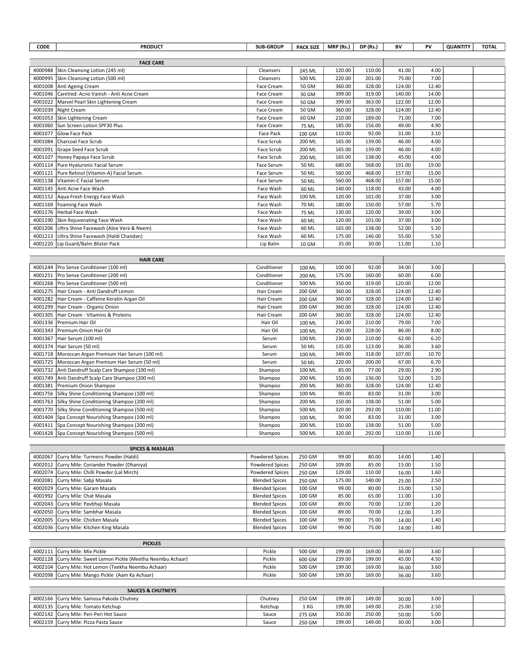| <b>CODE</b>      | <b>PRODUCT</b>                                       | <b>SUB-GROUP</b>       | <b>PACK SIZE</b> | MRP (Rs.) | DP (Rs.) | BV     | PV    | <b>QUANTITY</b> | <b>TOTAL</b> |
|------------------|------------------------------------------------------|------------------------|------------------|-----------|----------|--------|-------|-----------------|--------------|
|                  |                                                      |                        |                  |           |          |        |       |                 |              |
|                  | <b>FACE CARE</b>                                     |                        |                  |           |          |        |       |                 |              |
| 4000988          | Skin Cleansing Lotion (245 ml)                       | Cleansers              | 245 ML           | 120.00    | 110.00   | 41.00  | 4.00  |                 |              |
| 4000995          | Skin Cleansing Lotion (500 ml)                       | Cleansers              | 500 ML           | 220.00    | 201.00   | 75.00  | 7.00  |                 |              |
| 4001008          | Anti Ageing Cream                                    | Face Cream             | 50 GM            | 360.00    | 328.00   | 124.00 | 12.40 |                 |              |
| 4001046          | CareVed: Acno Vanish - Anti Acne Cream               | Face Cream             | 30 GM            | 399.00    | 319.00   | 140.00 | 14.00 |                 |              |
| 4001022          | Marvel Pearl Skin Lightening Cream                   | Face Cream             | 50 GM            | 399.00    | 363.00   | 122.00 | 12.00 |                 |              |
| 4001039          | Night Cream                                          | Face Cream             | 50 GM            | 360.00    | 328.00   | 124.00 | 12.40 |                 |              |
| 4001053          | Skin Lightening Cream                                | Face Cream             | 60 GM            | 210.00    | 189.00   | 71.00  | 7.00  |                 |              |
| 4001060          | Sun Screen Lotion SPF30 Plus                         | Face Cream             | 75 ML            | 185.00    | 156.00   | 49.00  | 4.90  |                 |              |
| 4001077          | Glow Face Pack                                       | Face Pack              | 100 GM           | 110.00    | 92.00    | 31.00  | 3.10  |                 |              |
| 4001084          | Charcoal Face Scrub                                  | Face Scrub             | 200 ML           | 165.00    | 139.00   | 46.00  | 4.00  |                 |              |
| 4001091          | Grape Seed Face Scrub                                | Face Scrub             | 200 ML           | 165.00    | 139.00   | 46.00  | 4.00  |                 |              |
| 4001107          | Honey Papaya Face Scrub                              | Face Scrub             | 200 ML           | 165.00    | 138.00   | 45.00  | 4.00  |                 |              |
| 4001114          | Pure Hyaluronic Facial Serum                         | Face Serum             | 50 ML            | 680.00    | 568.00   | 191.00 | 19.00 |                 |              |
| 4001121          | Pure Retinol (Vitamin-A) Facial Serum                | Face Serum             | 50 ML            | 560.00    | 468.00   | 157.00 | 15.00 |                 |              |
| 4001138          | Vitamin-C Facial Serum                               | Face Serum             | 50 ML            | 560.00    | 468.00   | 157.00 | 15.00 |                 |              |
| 4001145          | Anti Acne Face Wash                                  | Face Wash              | 60 ML            | 140.00    | 118.00   | 43.00  | 4.00  |                 |              |
| 4001152          | Aqua Fresh Energy Face Wash                          | Face Wash              | 100 ML           | 120.00    | 101.00   | 37.00  | 3.00  |                 |              |
| 4001169          | Foaming Face Wash                                    | Face Wash              | 70 ML            | 180.00    | 150.00   | 57.00  | 5.70  |                 |              |
|                  | 4001176   Herbal Face Wash                           | Face Wash              | 75 ML            | 130.00    | 120.00   | 39.00  | 3.00  |                 |              |
| 4001190          | Skin Rejuvenating Face Wash                          | Face Wash              | 60 ML            | 120.00    | 101.00   | 37.00  | 3.00  |                 |              |
| 4001206          | Ultra Shine Facewash (Aloe Vera & Neem)              | Face Wash              | 60 ML            | 165.00    | 138.00   | 52.00  | 5.20  |                 |              |
| 4001213          | Ultra Shine Facewash (Haldi Chandan)                 | Face Wash              | 60 ML            | 175.00    | 146.00   | 55.00  | 5.50  |                 |              |
| 4001220          | Lip Guard/Balm Blister Pack                          | Lip Balm               | 10 GM            | 35.00     | 30.00    | 11.00  | 1.10  |                 |              |
| <b>HAIR CARE</b> |                                                      |                        |                  |           |          |        |       |                 |              |
| 4001244          | Pro Sense Conditioner (100 ml)                       | Conditioner            |                  | 100.00    | 92.00    | 34.00  | 3.00  |                 |              |
| 4001251          | Pro Sense Conditioner (200 ml)                       | Conditioner            | 100 ML<br>200 ML | 175.00    | 160.00   | 60.00  | 6.00  |                 |              |
| 4001268          | Pro Sense Conditioner (500 ml)                       | Conditioner            | 500 ML           | 350.00    | 319.00   | 120.00 | 12.00 |                 |              |
| 4001275          | Hair Cream - Anti Dandruff Lemon                     | Hair Cream             | 200 GM           | 360.00    | 328.00   | 124.00 | 12.40 |                 |              |
| 4001282          | Hair Cream - Caffeine Keratin Argan Oil              | Hair Cream             | 200 GM           | 360.00    | 328.00   | 124.00 | 12.40 |                 |              |
| 4001299          | Hair Cream - Organic Onion                           | Hair Cream             | 200 GM           | 360.00    | 328.00   | 124.00 | 12.40 |                 |              |
| 4001305          | Hair Cream - Vitamins & Proteins                     | Hair Cream             | 200 GM           | 360.00    | 328.00   | 124.00 | 12.40 |                 |              |
| 4001336          | Premium Hair Oil                                     | Hair Oil               | 100 ML           | 230.00    | 210.00   | 79.00  | 7.00  |                 |              |
| 4001343          | Premium Onion Hair Oil                               | Hair Oil               | 100 ML           | 250.00    | 228.00   | 86.00  | 8.00  |                 |              |
| 4001367          | Hair Serum (100 ml)                                  | Serum                  | 100 ML           | 230.00    | 210.00   | 62.00  | 6.20  |                 |              |
| 4001374          | Hair Serum (50 ml)                                   | Serum                  | 50 ML            | 135.00    | 123.00   | 36.00  | 3.60  |                 |              |
|                  | 4001718   Moroccan Argan Premium Hair Serum (100 ml) | Serum                  | 100 ML           | 349.00    | 318.00   | 107.00 | 10.70 |                 |              |
|                  | 4001725   Moroccan Argan Premium Hair Serum (50 ml)  | Serum                  | 50 ML            | 220.00    | 200.00   | 67.00  | 6.70  |                 |              |
| 4001732          | Anti Dandruff Scalp Care Shampoo (100 ml)            | Shampoo                | 100 ML           | 85.00     | 77.00    | 29.00  | 2.90  |                 |              |
| 4001749          | Anti Dandruff Scalp Care Shampoo (200 ml)            | Shampoo                | 200 ML           | 150.00    | 136.00   | 52.00  | 5.20  |                 |              |
| 4001381          | Premium Onion Shampoo                                | Shampoo                | 200 ML           | 360.00    | 328.00   | 124.00 | 12.40 |                 |              |
| 4001756          | Silky Shine Conditioning Shampoo (100 ml)            | Shampoo                | 100 ML           | 90.00     | 83.00    | 31.00  | 3.00  |                 |              |
|                  | 4001763 Silky Shine Conditioning Shampoo (200 ml)    | Shampoo                | 200 ML           | 150.00    | 138.00   | 51.00  | 5.00  |                 |              |
|                  | 4001770 Silky Shine Conditioning Shampoo (500 ml)    | Shampoo                | 500 ML           | 320.00    | 292.00   | 110.00 | 11.00 |                 |              |
|                  | 4001404   Spa Concept Nourishing Shampoo (100 ml)    | Shampoo                | 100 ML           | 90.00     | 83.00    | 31.00  | 3.00  |                 |              |
|                  | 4001411 Spa Concept Nourishing Shampoo (200 ml)      | Shampoo                | 200 ML           | 150.00    | 138.00   | 51.00  | 5.00  |                 |              |
|                  | 4001428 Spa Concept Nourishing Shampoo (500 ml)      | Shampoo                | 500 ML           | 320.00    | 292.00   | 110.00 | 11.00 |                 |              |
|                  |                                                      |                        |                  |           |          |        |       |                 |              |
|                  | <b>SPICES &amp; MASALAS</b>                          |                        |                  |           |          |        |       |                 |              |
| 4002067          | Curry Mile: Turmeric Powder (Haldi)                  | <b>Powdered Spices</b> | 250 GM           | 99.00     | 80.00    | 14.00  | 1.40  |                 |              |
| 4002012          | Curry Mile: Coriander Powder (Dhaniya)               | Powdered Spices        | 250 GM           | 109.00    | 85.00    | 15.00  | 1.50  |                 |              |
| 4002074          | Curry Mile: Chilli Powder (Lal Mirch)                | Powdered Spices        | 250 GM           | 129.00    | 110.00   | 16.00  | 1.60  |                 |              |
| 4002081          | Curry Mile: Sabji Masala                             | <b>Blended Spices</b>  | 250 GM           | 175.00    | 140.00   | 25.00  | 2.50  |                 |              |
| 4002029          | Curry Mile: Garam Masala                             | <b>Blended Spices</b>  | 100 GM           | 99.00     | 80.00    | 15.00  | 1.50  |                 |              |
| 4001992          | Curry Mile: Chat Masala                              | <b>Blended Spices</b>  | 100 GM           | 85.00     | 65.00    | 11.00  | 1.10  |                 |              |
| 4002043          | Curry Mile: Pavbhaji Masala                          | <b>Blended Spices</b>  | 100 GM           | 89.00     | 70.00    | 12.00  | 1.20  |                 |              |
| 4002050          | Curry Mile: Sambhar Masala                           | <b>Blended Spices</b>  | 100 GM           | 89.00     | 70.00    | 12.00  | 1.20  |                 |              |

| <b>PICKLES</b>                                                |        |        |        |        |                    |      |  |
|---------------------------------------------------------------|--------|--------|--------|--------|--------------------|------|--|
| 4002111 Curry Mile: Mix Pickle                                | Pickle | 500 GM | 199.00 | 169.00 | 36.00 <sub>1</sub> | 3.60 |  |
| 4002128 Curry Mile: Sweet Lemon Pickle (Meetha Neembu Achaar) | Pickle | 600 GM | 239.00 | 199.00 | 45.00              | 4.50 |  |
| 4002104 Curry Mile: Hot Lemon (Teekha Neembu Achaar)          | Pickle | 500 GM | 199.00 | 169.00 | 36.00 <sub>1</sub> | 3.60 |  |
| 4002098 Curry Mile: Mango Pickle (Aam Ka Achaar)              | Pickle | 500 GM | 199.00 | 169.00 | 36.00 <sub>1</sub> | 3.60 |  |

4002005 Curry Mile: Chicken Masala **Blended Spices 100 GM** 99.00 75.00 1.400 1.40 4002036 Curry Mile: Kitchen King Masala **Blended Spices** | 100 GM | 99.00 | 75.00 | 14.00 | 1.40

| <b>SAUCES &amp; CHUTNEYS</b>              |         |        |        |        |       |      |  |
|-------------------------------------------|---------|--------|--------|--------|-------|------|--|
| 4002166 Curry Mile: Samosa Pakoda Chutney | Chutnev | 250 GM | 199.00 | 149.00 | 30.00 | 3.00 |  |
| 4002135 Curry Mile: Tomato Ketchup        | Ketchup | 1 KG   | 199.00 | 149.00 | 25.00 | 2.50 |  |
| 4002142 Curry Mile: Peri-Peri Hot Sauce   | Sauce   | 275 GM | 350.00 | 250.00 | 50.00 | 5.00 |  |
| 4002159 Curry Mile: Pizza Pasta Sauce     | Sauce   | 250 GM | 199.00 | 149.00 | 30.00 | 3.00 |  |